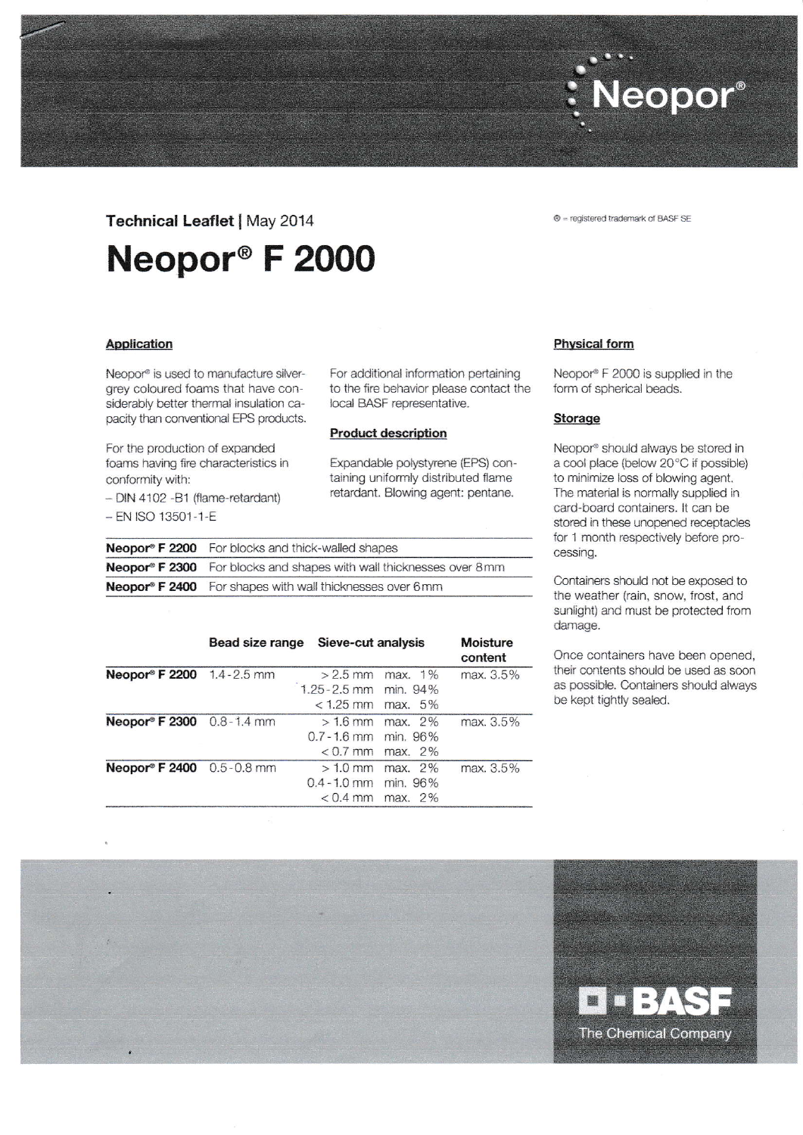## Technical Leaflet | May 2014

# Neopor® F 2000

### **Application**

Neopor® is used to manufacture silvergrey coloured foams that have considerably better thermal insulation capacity than conventional EPS products.

For the production of expanded foams having fire characteristics in conformity with:

- DIN 4102 - B1 (flame-retardant)

- EN ISO 13501-1-E

For additional information pertaining to the fire behavior please contact the local BASF representative.

## **Product description**

Expandable polystyrene (EPS) containing uniformly distributed flame retardant. Blowing agent: pentane.

|                                                                  | <b>Neopor® F 2200</b> For blocks and thick-walled shapes            |  |  |
|------------------------------------------------------------------|---------------------------------------------------------------------|--|--|
|                                                                  | Neopor® F 2300 For blocks and shapes with wall thicknesses over 8mm |  |  |
| <b>Neopor® F 2400</b> For shapes with wall thicknesses over 6 mm |                                                                     |  |  |

|                           | Bead size range | Sieve-cut analysis     |            | <b>Moisture</b><br>content |
|---------------------------|-----------------|------------------------|------------|----------------------------|
| Neopor® F 2200 1.4-2.5 mm |                 | $>2.5$ mm              | max. 1%    | max. 3.5%                  |
|                           |                 | 1.25 - 2.5 mm min. 94% |            |                            |
|                           |                 | $< 1.25$ mm max. $5\%$ |            |                            |
| Neopor® F 2300 0.8-1.4 mm |                 | $>1.6$ mm              | $max. 2\%$ | max. 3.5%                  |
|                           |                 | $0.7 - 1.6$ mm         | min. 96%   |                            |
|                           |                 | $< 0.7$ mm             | max. 2%    |                            |
| Neopor® F 2400 0.5-0.8 mm |                 | $>1.0$ mm              | max. 2%    | max. 3.5%                  |
|                           |                 | $0.4 - 1.0$ mm         | min. 96%   |                            |
|                           |                 | $< 0.4$ mm             | max. 2%    |                            |

**Physical form** 

Neopor® F 2000 is supplied in the form of spherical beads.

### **Storage**

Neopor® should always be stored in a cool place (below 20°C if possible) to minimize loss of blowing agent. The material is normally supplied in card-board containers. It can be stored in these unopened receptacles for 1 month respectively before processing.

Containers should not be exposed to the weather (rain, snow, frost, and sunlight) and must be protected from damage.

Once containers have been opened, their contents should be used as soon as possible. Containers should always be kept tightly sealed.





Neopor®